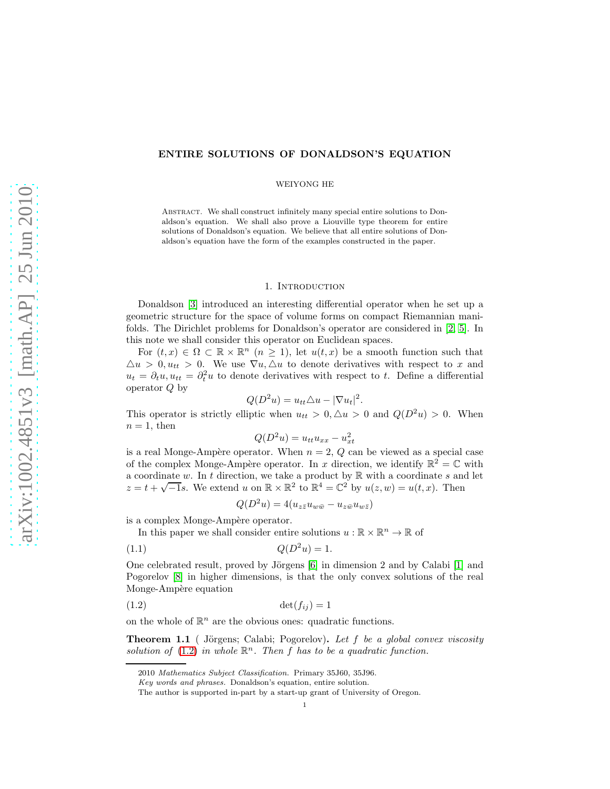# ENTIRE SOLUTIONS OF DONALDSON'S EQUATION

### WEIYONG HE

ABSTRACT. We shall construct infinitely many special entire solutions to Donaldson's equation. We shall also prove a Liouville type theorem for entire solutions of Donaldson's equation. We believe that all entire solutions of Donaldson's equation have the form of the examples constructed in the paper.

## 1. INTRODUCTION

Donaldson [\[3\]](#page-3-0) introduced an interesting differential operator when he set up a geometric structure for the space of volume forms on compact Riemannian manifolds. The Dirichlet problems for Donaldson's operator are considered in [\[2,](#page-3-1) [5\]](#page-3-2). In this note we shall consider this operator on Euclidean spaces.

For  $(t, x) \in \Omega \subset \mathbb{R} \times \mathbb{R}^n$   $(n \geq 1)$ , let  $u(t, x)$  be a smooth function such that  $\Delta u > 0, u_{tt} > 0$ . We use  $\nabla u, \Delta u$  to denote derivatives with respect to x and  $u_t = \partial_t u, u_{tt} = \partial_t^2 u$  to denote derivatives with respect to t. Define a differential operator Q by

$$
Q(D^2u) = u_{tt}\triangle u - |\nabla u_t|^2.
$$

This operator is strictly elliptic when  $u_{tt} > 0, \Delta u > 0$  and  $Q(D^2u) > 0$ . When  $n = 1$ , then

$$
Q(D^2u) = u_{tt}u_{xx} - u_{xt}^2
$$

is a real Monge-Ampère operator. When  $n = 2$ , Q can be viewed as a special case of the complex Monge-Ampère operator. In x direction, we identify  $\mathbb{R}^2 = \mathbb{C}$  with a coordinate w. In t direction, we take a product by  $\mathbb R$  with a coordinate s and let  $z = t + \sqrt{-1}s$ . We extend u on  $\mathbb{R} \times \mathbb{R}^2$  to  $\mathbb{R}^4 = \mathbb{C}^2$  by  $u(z, w) = u(t, x)$ . Then

<span id="page-0-2"></span><span id="page-0-0"></span>
$$
Q(D^2u) = 4(u_{z\bar{z}}u_{w\bar{w}} - u_{z\bar{w}}u_{w\bar{z}})
$$

is a complex Monge-Ampère operator.

In this paper we shall consider entire solutions  $u:\mathbb{R}\times\mathbb{R}^n\to\mathbb{R}$  of

$$
(1.1)\qquad \qquad Q(D^2u) = 1.
$$

One celebrated result, proved by Jörgens  $[6]$  in dimension 2 and by Calabi  $[1]$  and Pogorelov [\[8\]](#page-3-5) in higher dimensions, is that the only convex solutions of the real Monge-Ampère equation

$$
(1.2) \qquad \det(f_{ij}) = 1
$$

on the whole of  $\mathbb{R}^n$  are the obvious ones: quadratic functions.

<span id="page-0-1"></span>Theorem 1.1 ( Jörgens; Calabi; Pogorelov). Let f be a global convex viscosity solution of  $(1.2)$  in whole  $\mathbb{R}^n$ . Then f has to be a quadratic function.

<sup>2010</sup> Mathematics Subject Classification. Primary 35J60, 35J96.

Key words and phrases. Donaldson's equation, entire solution.

The author is supported in-part by a start-up grant of University of Oregon.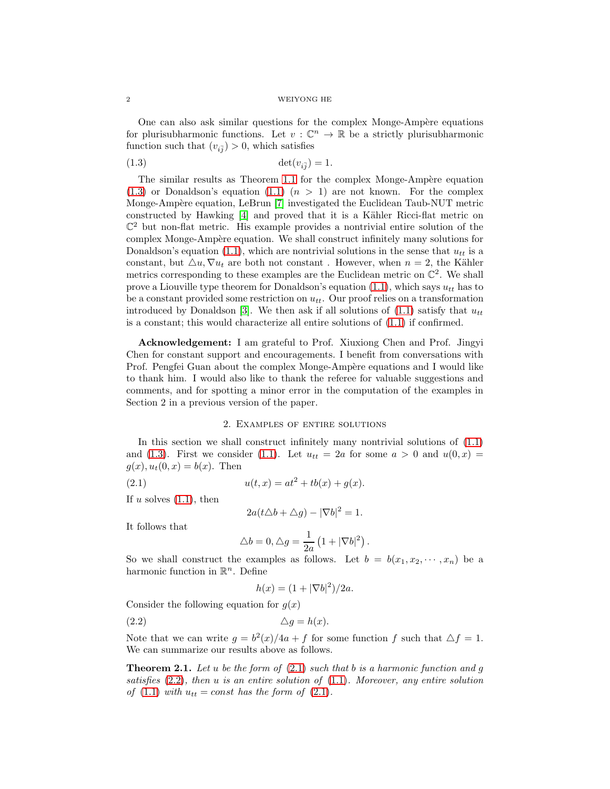#### 2 WEIYONG HE

One can also ask similar questions for the complex Monge-Ampère equations for plurisubharmonic functions. Let  $v : \mathbb{C}^n \to \mathbb{R}$  be a strictly plurisubharmonic function such that  $(v_{i\bar{j}}) > 0$ , which satisfies

<span id="page-1-0"></span>
$$
(1.3) \qquad \qquad \det(v_{i\bar{j}}) = 1.
$$

The similar results as Theorem [1.1](#page-0-1) for the complex Monge-Ampère equation  $(1.3)$  or Donaldson's equation  $(1.1)$   $(n > 1)$  are not known. For the complex Monge-Ampère equation, LeBrun [\[7\]](#page-3-6) investigated the Euclidean Taub-NUT metric constructed by Hawking  $[4]$  and proved that it is a Kähler Ricci-flat metric on  $\mathbb{C}^2$  but non-flat metric. His example provides a nontrivial entire solution of the complex Monge-Ampère equation. We shall construct infinitely many solutions for Donaldson's equation [\(1.1\)](#page-0-2), which are nontrivial solutions in the sense that  $u_{tt}$  is a constant, but  $\Delta u$ ,  $\nabla u_t$  are both not constant. However, when  $n = 2$ , the Kähler metrics corresponding to these examples are the Euclidean metric on  $\mathbb{C}^2$ . We shall prove a Liouville type theorem for Donaldson's equation  $(1.1)$ , which says  $u_{tt}$  has to be a constant provided some restriction on  $u_{tt}$ . Our proof relies on a transformation introduced by Donaldson [\[3\]](#page-3-0). We then ask if all solutions of  $(1.1)$  satisfy that  $u_{tt}$ is a constant; this would characterize all entire solutions of [\(1.1\)](#page-0-2) if confirmed.

Acknowledgement: I am grateful to Prof. Xiuxiong Chen and Prof. Jingyi Chen for constant support and encouragements. I benefit from conversations with Prof. Pengfei Guan about the complex Monge-Ampère equations and I would like to thank him. I would also like to thank the referee for valuable suggestions and comments, and for spotting a minor error in the computation of the examples in Section 2 in a previous version of the paper.

### 2. Examples of entire solutions

In this section we shall construct infinitely many nontrivial solutions of  $(1.1)$ and [\(1.3\)](#page-1-0). First we consider [\(1.1\)](#page-0-2). Let  $u_{tt} = 2a$  for some  $a > 0$  and  $u(0, x) =$  $g(x), u_t(0, x) = b(x)$ . Then

(2.1) 
$$
u(t,x) = at^2 + tb(x) + g(x).
$$

If u solves  $(1.1)$ , then

<span id="page-1-1"></span>
$$
2a(t\triangle b + \triangle g) - |\nabla b|^2 = 1.
$$

It follows that

$$
\triangle b = 0, \triangle g = \frac{1}{2a} \left( 1 + |\nabla b|^2 \right).
$$

So we shall construct the examples as follows. Let  $b = b(x_1, x_2, \dots, x_n)$  be a harmonic function in  $\mathbb{R}^n$ . Define

<span id="page-1-2"></span>
$$
h(x) = (1 + |\nabla b|^2)/2a.
$$

Consider the following equation for  $g(x)$ 

 $\triangle q = h(x).$ 

Note that we can write  $g = b^2(x)/4a + f$  for some function f such that  $\Delta f = 1$ . We can summarize our results above as follows.

**Theorem 2.1.** Let u be the form of  $(2.1)$  such that b is a harmonic function and g satisfies  $(2.2)$ , then u is an entire solution of  $(1.1)$ . Moreover, any entire solution of  $(1.1)$  with  $u_{tt} = const$  has the form of  $(2.1)$ .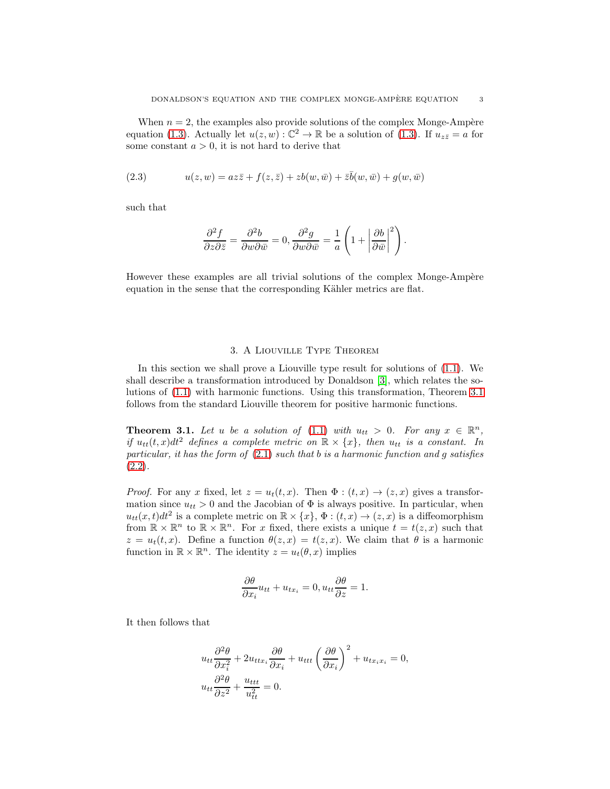When  $n = 2$ , the examples also provide solutions of the complex Monge-Ampère equation [\(1.3\)](#page-1-0). Actually let  $u(z, w) : \mathbb{C}^2 \to \mathbb{R}$  be a solution of (1.3). If  $u_{z\overline{z}} = a$  for some constant  $a > 0$ , it is not hard to derive that

(2.3) 
$$
u(z, w) = az\overline{z} + f(z, \overline{z}) + zb(w, \overline{w}) + \overline{z}\overline{b}(w, \overline{w}) + g(w, \overline{w})
$$

such that

$$
\frac{\partial^2 f}{\partial z \partial \overline{z}} = \frac{\partial^2 b}{\partial w \partial \overline{w}} = 0, \frac{\partial^2 g}{\partial w \partial \overline{w}} = \frac{1}{a} \left( 1 + \left| \frac{\partial b}{\partial \overline{w}} \right|^2 \right).
$$

However these examples are all trivial solutions of the complex Monge-Ampère equation in the sense that the corresponding Kähler metrics are flat.

# 3. A Liouville Type Theorem

In this section we shall prove a Liouville type result for solutions of [\(1.1\)](#page-0-2). We shall describe a transformation introduced by Donaldson [\[3\]](#page-3-0), which relates the solutions of [\(1.1\)](#page-0-2) with harmonic functions. Using this transformation, Theorem [3.1](#page-2-0) follows from the standard Liouville theorem for positive harmonic functions.

<span id="page-2-0"></span>**Theorem 3.1.** Let u be a solution of [\(1.1\)](#page-0-2) with  $u_{tt} > 0$ . For any  $x \in \mathbb{R}^n$ , if  $u_{tt}(t, x)dt^2$  defines a complete metric on  $\mathbb{R} \times \{x\}$ , then  $u_{tt}$  is a constant. In particular, it has the form of  $(2.1)$  such that b is a harmonic function and g satisfies [\(2.2\)](#page-1-2).

*Proof.* For any x fixed, let  $z = u_t(t, x)$ . Then  $\Phi : (t, x) \to (z, x)$  gives a transformation since  $u_{tt} > 0$  and the Jacobian of  $\Phi$  is always positive. In particular, when  $u_{tt}(x,t)dt^2$  is a complete metric on  $\mathbb{R}\times\{x\}$ ,  $\Phi:(t,x)\to(z,x)$  is a diffeomorphism from  $\mathbb{R} \times \mathbb{R}^n$  to  $\mathbb{R} \times \mathbb{R}^n$ . For x fixed, there exists a unique  $t = t(z, x)$  such that  $z = u_t(t, x)$ . Define a function  $\theta(z, x) = t(z, x)$ . We claim that  $\theta$  is a harmonic function in  $\mathbb{R} \times \mathbb{R}^n$ . The identity  $z = u_t(\theta, x)$  implies

$$
\frac{\partial \theta}{\partial x_i} u_{tt} + u_{tx_i} = 0, u_{tt} \frac{\partial \theta}{\partial z} = 1.
$$

It then follows that

$$
u_{tt}\frac{\partial^2 \theta}{\partial x_i^2} + 2u_{ttx_i}\frac{\partial \theta}{\partial x_i} + u_{ttt}\left(\frac{\partial \theta}{\partial x_i}\right)^2 + u_{tx_ix_i} = 0,
$$
  

$$
u_{tt}\frac{\partial^2 \theta}{\partial z^2} + \frac{u_{ttt}}{u_{tt}^2} = 0.
$$